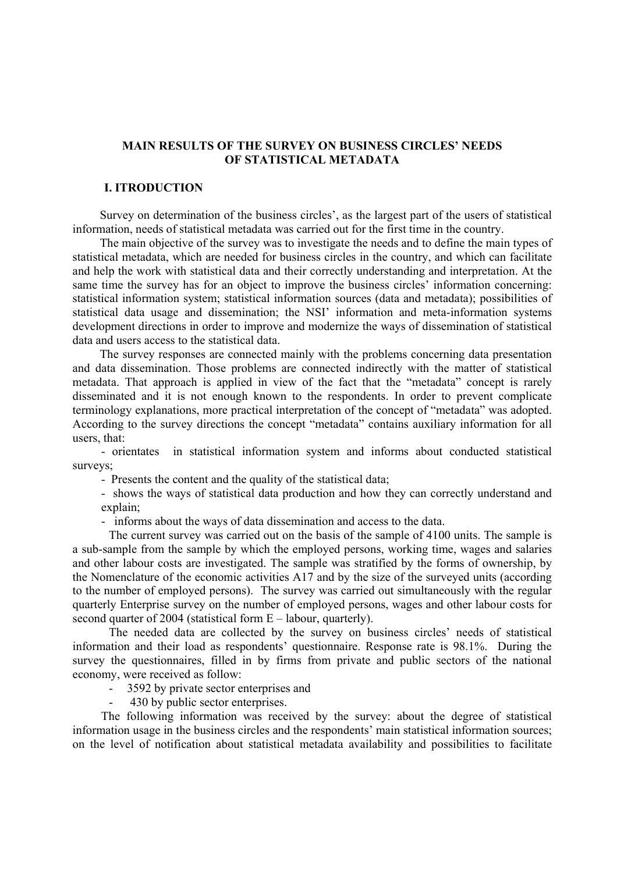### **MAIN RESULTS OF THE SURVEY ON BUSINESS CIRCLES' NEEDS OF STATISTICAL METADATA**

# **І. ITRODUCTION**

Survey on determination of the business circles', as the largest part of the users of statistical information, needs of statistical metadata was carried out for the first time in the country.

The main objective of the survey was to investigate the needs and to define the main types of statistical metadata, which are needed for business circles in the country, and which can facilitate and help the work with statistical data and their correctly understanding and interpretation. At the same time the survey has for an object to improve the business circles' information concerning: statistical information system; statistical information sources (data and metadata); possibilities of statistical data usage and dissemination; the NSI' information and meta-information systems development directions in order to improve and modernize the ways of dissemination of statistical data and users access to the statistical data.

The survey responses are connected mainly with the problems concerning data presentation and data dissemination. Those problems are connected indirectly with the matter of statistical metadata. That approach is applied in view of the fact that the "metadata" concept is rarely disseminated and it is not enough known to the respondents. In order to prevent complicate terminology explanations, more practical interpretation of the concept of "metadata" was adopted. According to the survey directions the concept "metadata" contains auxiliary information for all users, that:

- orientates in statistical information system and informs about conducted statistical surveys;

- Presents the content and the quality of the statistical data;

- shows the ways of statistical data production and how they can correctly understand and explain;

- informs about the ways of data dissemination and access to the data.

The current survey was carried out on the basis of the sample of 4100 units. The sample is a sub-sample from the sample by which the employed persons, working time, wages and salaries and other labour costs are investigated. The sample was stratified by the forms of ownership, by the Nomenclature of the economic activities A17 and by the size of the surveyed units (according to the number of employed persons). The survey was carried out simultaneously with the regular quarterly Enterprise survey on the number of employed persons, wages and other labour costs for second quarter of 2004 (statistical form E – labour, quarterly).

The needed data are collected by the survey on business circles' needs of statistical information and their load as respondents' questionnaire. Response rate is 98.1%. During the survey the questionnaires, filled in by firms from private and public sectors of the national economy, were received as follow:

- 3592 by private sector enterprises and

430 by public sector enterprises.

The following information was received by the survey: about the degree of statistical information usage in the business circles and the respondents' main statistical information sources; on the level of notification about statistical metadata availability and possibilities to facilitate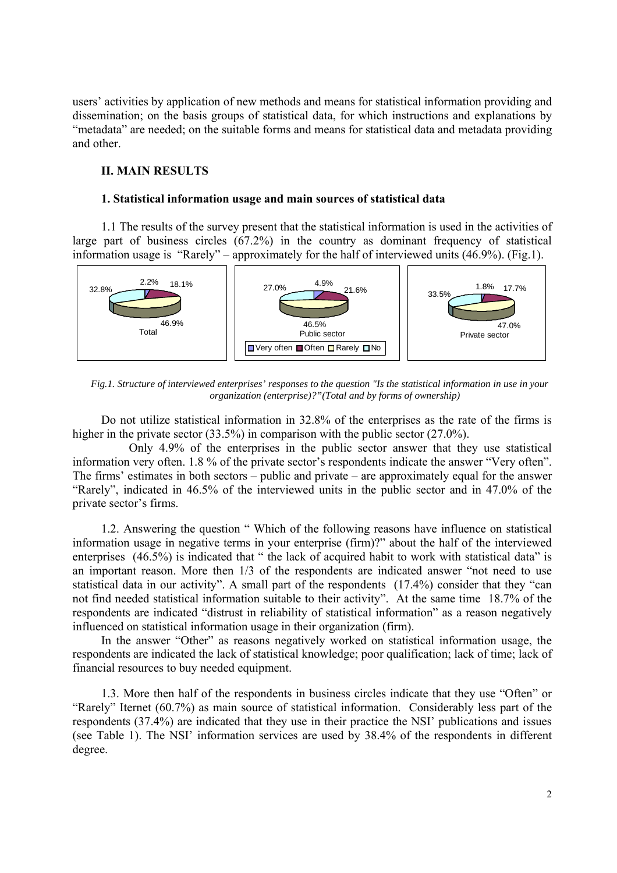users' activities by application of new methods and means for statistical information providing and dissemination; on the basis groups of statistical data, for which instructions and explanations by "metadata" are needed; on the suitable forms and means for statistical data and metadata providing and other.

#### **ІІ. MAIN RESULTS**

#### **1. Statistical information usage and main sources of statistical data**

1.1 The results of the survey present that the statistical information is used in the activities of large part of business circles (67.2%) in the country as dominant frequency of statistical information usage is "Rarely" – approximately for the half of interviewed units (46.9%). (Fig.1).



*Fig.1. Structure of interviewed enterprises' responses to the question "Is the statistical information in use in your organization (enterprise)?"(Total and by forms of ownership)*

Do not utilize statistical information in 32.8% of the enterprises as the rate of the firms is higher in the private sector (33.5%) in comparison with the public sector (27.0%).

 Only 4.9% of the enterprises in the public sector answer that they use statistical information very often. 1.8 % of the private sector's respondents indicate the answer "Very often". The firms' estimates in both sectors – public and private – are approximately equal for the answer "Rarely", indicated in 46.5% of the interviewed units in the public sector and in 47.0% оf the private sector's firms.

1.2. Answering the question " Which of the following reasons have influence on statistical information usage in negative terms in your enterprise (firm)?" about the half of the interviewed enterprises (46.5%) is indicated that " the lack of acquired habit to work with statistical data" is an important reason. More then 1/3 оf the respondents are indicated answer "not need to use statistical data in our activity". A small part of the respondents (17.4%) consider that they "can not find needed statistical information suitable to their activity". At the same time 18.7% of the respondents are indicated "distrust in reliability of statistical information" as a reason negatively influenced on statistical information usage in their organization (firm).

In the answer "Other" as reasons negatively worked on statistical information usage, the respondents are indicated the lack of statistical knowledge; poor qualification; lack of time; lack of financial resources to buy needed equipment.

1.3. More then half of the respondents in business circles indicate that they use "Often" or "Rarely" Iternet (60.7%) as main source of statistical information. Considerably less part of the respondents (37.4%) are indicated that they use in their practice the NSI' publications and issues (see Table 1). The NSI' information services are used by 38.4% оf the respondents in different degree.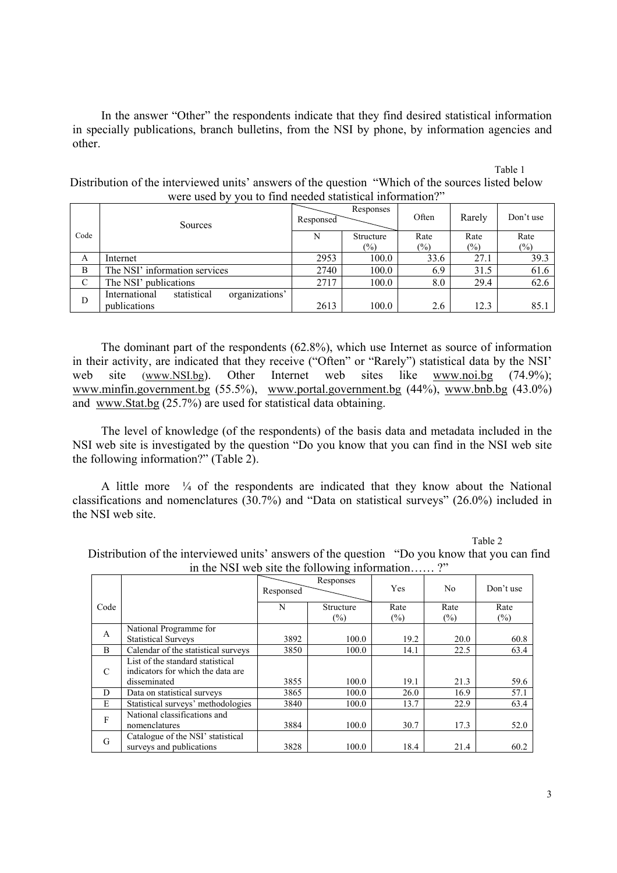In the answer "Other" the respondents indicate that they find desired statistical information in specially publications, branch bulletins, from the NSI by phone, by information agencies and other.

Тable 1

|      | Sources                                        | Responses<br>Responsed |                            | Often          | Rarely         | Don't use      |
|------|------------------------------------------------|------------------------|----------------------------|----------------|----------------|----------------|
| Code |                                                | N                      | Structure<br>$\frac{1}{2}$ | Rate<br>$(\%)$ | Rate<br>$(\%)$ | Rate<br>$(\%)$ |
| A    | Internet                                       | 2953                   | 100.0                      | 33.6           | 27.1           | 39.3           |
| B    | The NSI' information services                  | 2740                   | 100.0                      | 6.9            | 31.5           | 61.6           |
| C    | The NSI' publications                          | 2717                   | 100.0                      | 8.0            | 29.4           | 62.6           |
| D    | organizations'<br>statistical<br>International |                        |                            |                |                |                |
|      | publications                                   | 2613                   | 100.0                      | 2.6            | 12.3           | 85.1           |

Distribution of the interviewed units' answers of the question "Which of the sources listed below were used by you to find needed statistical information?"

The dominant part of the respondents (62.8%), which use Internet as source of information in their activity, are indicated that they receive ("Often" or "Rarely") statistical data by the NSI' web site (www.NSI.bg). Other Internet web sites like www.noi.bg (74.9%); www.minfin.government.bg (55.5%), www.portal.government.bg (44%), www.bnb.bg (43.0%) and www.Stat.bg (25.7%) are used for statistical data obtaining.

The level of knowledge (of the respondents) of the basis data and metadata included in the NSI web site is investigated by the question "Do you know that you can find in the NSI web site the following information?" (Table 2).

A little more  $\frac{1}{4}$  of the respondents are indicated that they know about the National classifications and nomenclatures (30.7%) and "Data on statistical surveys" (26.0%) included in the NSI web site.

Таble 2

| In the NST web site the following information |                                     |                        |        |        |        |           |  |  |
|-----------------------------------------------|-------------------------------------|------------------------|--------|--------|--------|-----------|--|--|
|                                               |                                     | Responses<br>Responsed |        | Yes    | No     | Don't use |  |  |
| Code                                          |                                     | Structure<br>N         |        | Rate   | Rate   | Rate      |  |  |
|                                               |                                     |                        | $(\%)$ | $(\%)$ | $(\%)$ | $(\%)$    |  |  |
| A                                             | National Programme for              |                        |        |        |        |           |  |  |
|                                               | <b>Statistical Surveys</b>          | 3892                   | 100.0  | 19.2   | 20.0   | 60.8      |  |  |
| B                                             | Calendar of the statistical surveys | 3850                   | 100.0  | 14.1   | 22.5   | 63.4      |  |  |
|                                               | List of the standard statistical    |                        |        |        |        |           |  |  |
| C                                             | indicators for which the data are   |                        |        |        |        |           |  |  |
|                                               | disseminated                        | 3855                   | 100.0  | 19.1   | 21.3   | 59.6      |  |  |
| D                                             | Data on statistical surveys         | 3865                   | 100.0  | 26.0   | 16.9   | 57.1      |  |  |
| E                                             | Statistical surveys' methodologies  | 3840                   | 100.0  | 13.7   | 22.9   | 63.4      |  |  |
| F                                             | National classifications and        |                        |        |        |        |           |  |  |
|                                               | nomenclatures                       | 3884                   | 100.0  | 30.7   | 17.3   | 52.0      |  |  |
| G                                             | Catalogue of the NSI' statistical   |                        |        |        |        |           |  |  |
|                                               | surveys and publications            | 3828                   | 100.0  | 18.4   | 21.4   | 60.2      |  |  |

Distribution of the interviewed units' answers of the question "Do you know that you can find in the NSI web site the following information.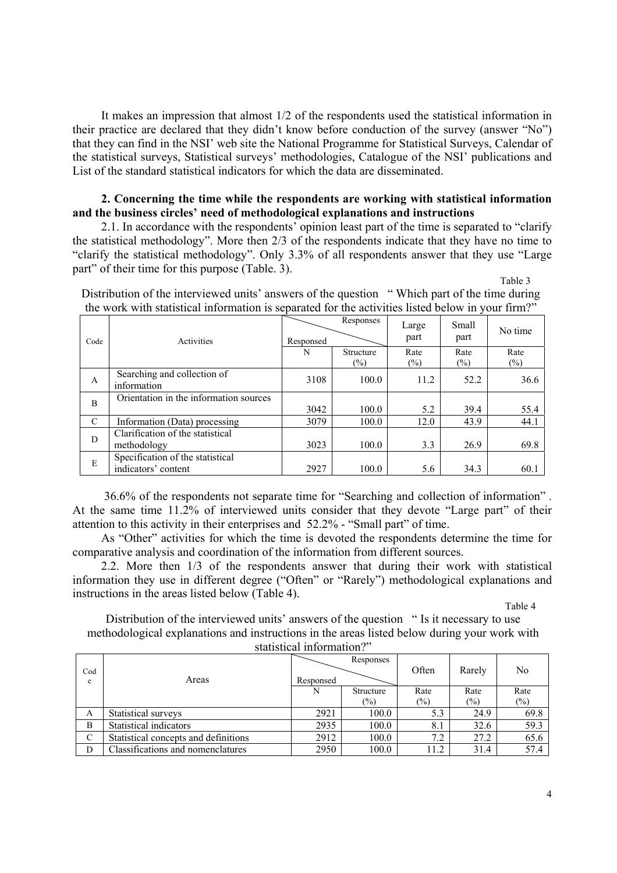It makes an impression that almost 1/2 of the respondents used the statistical information in their practice are declared that they didn't know before conduction of the survey (answer "No") that they can find in the NSI' web site the National Programme for Statistical Surveys, Calendar of the statistical surveys, Statistical surveys' methodologies, Catalogue of the NSI' publications and List of the standard statistical indicators for which the data are disseminated.

### **2. Concerning the time while the respondents are working with statistical information and the business circles' need of methodological explanations and instructions**

2.1. In accordance with the respondents' opinion least part of the time is separated to "clarify the statistical methodology". More then 2/3 of the respondents indicate that they have no time to "clarify the statistical methodology". Only 3.3% of all respondents answer that they use "Large part" of their time for this purpose (Table. 3). Table 3

Distribution of the interviewed units' answers of the question "Which part of the time during the work with statistical information is separated for the activities listed below in your firm?"

| Code         | Activities                                              | Responses<br>Responsed |                     | Large<br>part  | Small<br>part  | No time        |
|--------------|---------------------------------------------------------|------------------------|---------------------|----------------|----------------|----------------|
|              |                                                         | N                      | Structure<br>$(\%)$ | Rate<br>$(\%)$ | Rate<br>$(\%)$ | Rate<br>$(\%)$ |
| $\mathbf{A}$ | Searching and collection of<br>information              | 3108                   | 100.0               | 11.2           | 52.2           | 36.6           |
| B            | Orientation in the information sources                  | 3042                   | 100.0               | 5.2            | 39.4           | 55.4           |
| C            | Information (Data) processing                           | 3079                   | 100.0               | 12.0           | 43.9           | 44.1           |
| D            | Clarification of the statistical<br>methodology         | 3023                   | 100.0               | 3.3            | 26.9           | 69.8           |
| E            | Specification of the statistical<br>indicators' content | 2927                   | 100.0               | 5.6            | 34.3           | 60.1           |

 36.6% of the respondents not separate time for "Searching and collection of information" . At the same time 11.2% of interviewed units consider that they devote "Large part" of their attention to this activity in their enterprises and 52.2% - "Small part" of time.

As "Other" activities for which the time is devoted the respondents determine the time for comparative analysis and coordination of the information from different sources.

2.2. More then 1/3 of the respondents answer that during their work with statistical information they use in different degree ("Often" or "Rarely") methodological explanations and instructions in the areas listed below (Table 4).

Тable 4

Distribution of the interviewed units' answers of the question " Is it necessary to use methodological explanations and instructions in the areas listed below during your work with statistical information?"

| Cod<br>e | Areas                                | Responsed | Responses        | Often  | Rarely | No     |
|----------|--------------------------------------|-----------|------------------|--------|--------|--------|
|          |                                      | N         | <b>Structure</b> | Rate   | Rate   | Rate   |
|          |                                      |           | $(\%)$           | $(\%)$ | (%)    | $(\%)$ |
| A        | Statistical surveys                  | 2921      | 100.0            | 5.3    | 24.9   | 69.8   |
| B        | Statistical indicators               | 2935      | 100.0            | 8.1    | 32.6   | 59.3   |
| C        | Statistical concepts and definitions | 2912      | 100.0            | 7.2    | 27.2   | 65.6   |
| D        | Classifications and nomenclatures    | 2950      | 100.0            | 11.2   | 31.4   | 57.4   |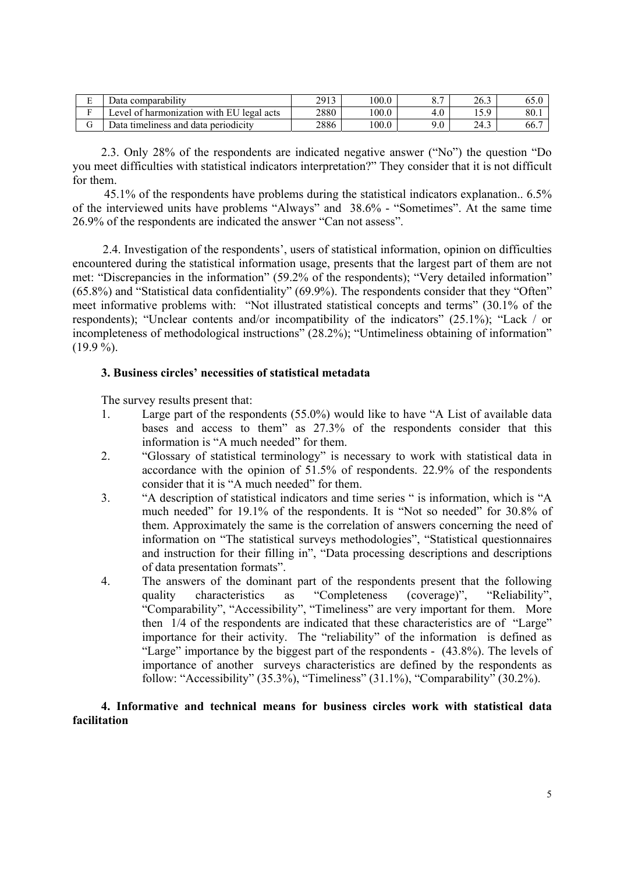| Ē<br>∸          | $\cdots$<br>comparability<br>Jata                                      | 2913 | 100.0 | -<br>U.         | 26.3                               | 00.U |
|-----------------|------------------------------------------------------------------------|------|-------|-----------------|------------------------------------|------|
| -               | $\sim$ 1<br>EU<br>`harmonization with<br>acts<br>legal<br>evel<br>- OT | 2880 | 100.0 |                 | $\epsilon$ $\alpha$<br><br>1 J . J | 80.1 |
| $\sqrt{ }$<br>◡ | Jata<br>data periodicity<br>timeliness and                             | 2886 | 00.0  | .0 <sub>1</sub> | 24.3                               | 66.7 |

2.3. Only 28% of the respondents are indicated negative answer ("No") the question "Do you meet difficulties with statistical indicators interpretation?" They consider that it is not difficult for them.

 45.1% of the respondents have problems during the statistical indicators explanation.. 6.5% of the interviewed units have problems "Always" and 38.6% - "Sometimes". At the same time 26.9% of the respondents are indicated the answer "Can not assess".

 2.4. Investigation of the respondents', users of statistical information, opinion on difficulties encountered during the statistical information usage, presents that the largest part of them are not met: "Discrepancies in the information" (59.2% of the respondents); "Very detailed information" (65.8%) and "Statistical data confidentiality" (69.9%). The respondents consider that they "Often" meet informative problems with: "Not illustrated statistical concepts and terms" (30.1% of the respondents); "Unclear contents and/or incompatibility of the indicators" (25.1%); "Lack / or incompleteness of methodological instructions" (28.2%); "Untimeliness obtaining of information"  $(19.9\%).$ 

# **3. Business circles' necessities of statistical metadata**

The survey results present that:

- 1. Large part of the respondents (55.0%) would like to have "A List of available data bases and access to them" as 27.3% of the respondents consider that this information is "A much needed" for them.
- 2. "Glossary of statistical terminology" is necessary to work with statistical data in accordance with the opinion of 51.5% of respondents. 22.9% of the respondents consider that it is "A much needed" for them.
- 3. "A description of statistical indicators and time series " is information, which is "A much needed" for 19.1% of the respondents. It is "Not so needed" for 30.8% of them. Approximately the same is the correlation of answers concerning the need of information on "The statistical surveys methodologies", "Statistical questionnaires and instruction for their filling in", "Data processing descriptions and descriptions of data presentation formats".
- 4. The answers of the dominant part of the respondents present that the following quality characteristics as "Completeness (coverage)", "Reliability", "Comparability", "Accessibility", "Timeliness" are very important for them. More then 1/4 of the respondents are indicated that these characteristics are of "Large" importance for their activity. The "reliability" of the information is defined as "Large" importance by the biggest part of the respondents - (43.8%). The levels of importance of another surveys characteristics are defined by the respondents as follow: "Accessibility"  $(35.3\%)$ , "Timeliness"  $(31.1\%)$ , "Comparability"  $(30.2\%)$ .

# **4. Informative and technical means for business circles work with statistical data facilitation**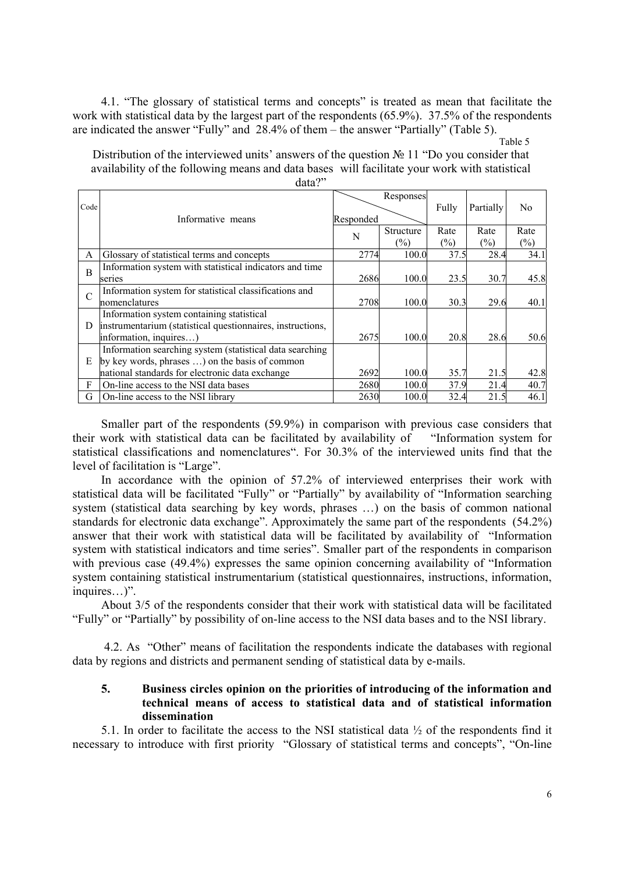4.1. "The glossary of statistical terms and concepts" is treated as mean that facilitate the work with statistical data by the largest part of the respondents (65.9%). 37.5% of the respondents are indicated the answer "Fully" and 28.4% оf them – the answer "Partially" (Table 5).

Table 5

Distribution of the interviewed units' answers of the question № 11 "Do you consider that availability of the following means and data bases will facilitate your work with statistical

|                |                                                            |           | Responses     |        |           |        |
|----------------|------------------------------------------------------------|-----------|---------------|--------|-----------|--------|
| Code           |                                                            |           |               | Fully  | Partially | No.    |
|                | Informative means                                          | Responded |               |        |           |        |
|                |                                                            | N         | Structure     | Rate   | Rate      | Rate   |
|                |                                                            |           | $\frac{1}{2}$ | $(\%)$ | $(\%)$    | $(\%)$ |
| A              | Glossary of statistical terms and concepts                 | 2774      | 100.0         | 37.5   | 28.4      | 34.1   |
| $\overline{B}$ | Information system with statistical indicators and time    |           |               |        |           |        |
|                | series                                                     | 2686      | 100.0         | 23.5   | 30.7      | 45.8   |
| $\mathcal{C}$  | Information system for statistical classifications and     |           |               |        |           |        |
|                | nomenclatures                                              | 2708      | 100.0         | 30.3   | 29.6      | 40.1   |
|                | Information system containing statistical                  |           |               |        |           |        |
| D              | instrumentarium (statistical questionnaires, instructions, |           |               |        |           |        |
|                | information, inquires)                                     | 2675      | 100.0         | 20.8   | 28.6      | 50.6   |
|                | Information searching system (statistical data searching   |           |               |        |           |        |
| E              | by key words, phrases ) on the basis of common             |           |               |        |           |        |
|                | national standards for electronic data exchange            | 2692      | 100.0         | 35.7   | 21.5      | 42.8   |
| F              | On-line access to the NSI data bases                       | 2680      | 100.0         | 37.9   | 21.4      | 40.7   |
| G              | On-line access to the NSI library                          | 2630      | 100.0         | 32.4   | 21.5      | 46.1   |

Smaller part of the respondents (59*.*9%) in comparison with previous case considers that their work with statistical data can be facilitated by availability of "Information system for statistical classifications and nomenclatures". For 30.3% of the interviewed units find that the level of facilitation is "Large".

In accordance with the opinion of 57.2% of interviewed enterprises their work with statistical data will be facilitated "Fully" or "Partially" by availability of "Information searching system (statistical data searching by key words, phrases …) on the basis of common national standards for electronic data exchange". Approximately the same part of the respondents (54.2%) answer that their work with statistical data will be facilitated by availability of "Information system with statistical indicators and time series". Smaller part of the respondents in comparison with previous case (49.4%) expresses the same opinion concerning availability of "Information" system containing statistical instrumentarium (statistical questionnaires, instructions, information, inquires…)".

About 3/5 of the respondents consider that their work with statistical data will be facilitated "Fully" or "Partially" by possibility of on-line access to the NSI data bases and to the NSI library.

 4.2. As "Other" means of facilitation the respondents indicate the databases with regional data by regions and districts and permanent sending of statistical data by e-mails.

### **5. Business circles opinion on the priorities of introducing of the information and technical means of access to statistical data and of statistical information dissemination**

5.1. In order to facilitate the access to the NSI statistical data ½ of the respondents find it necessary to introduce with first priority "Glossary of statistical terms and concepts", "On-line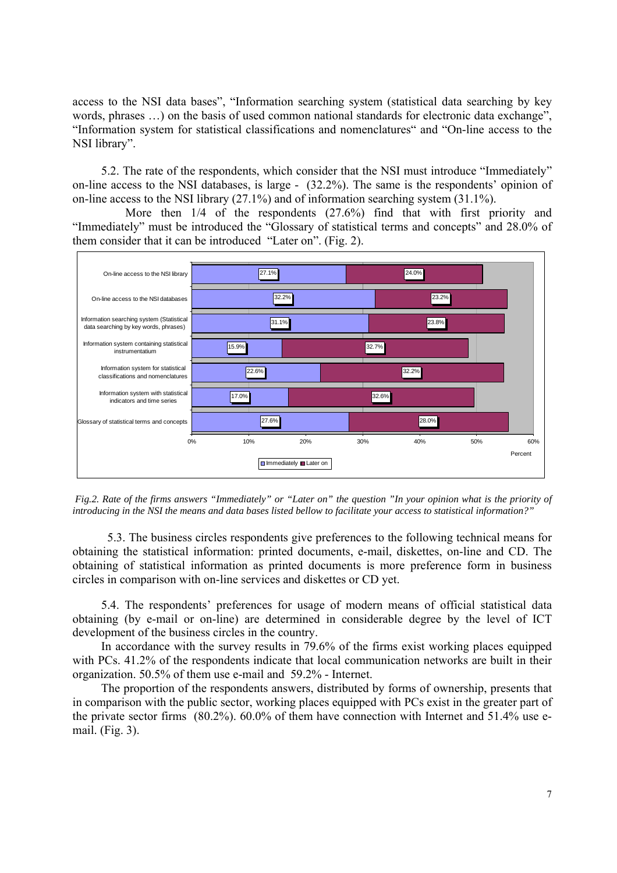access to the NSI data bases", "Information searching system (statistical data searching by key words, phrases …) on the basis of used common national standards for electronic data exchange", "Information system for statistical classifications and nomenclatures" and "On-line access to the NSI library".

5.2. The rate of the respondents, which consider that the NSI must introduce "Immediately" on-line access to the NSI databases, is large - (32.2%). The same is the respondents' opinion of on-line access to the NSI library (27.1%) and of information searching system (31.1%).

More then  $1/4$  of the respondents (27.6%) find that with first priority and "Immediately" must be introduced the "Glossary of statistical terms and concepts" and 28.0% of them consider that it can be introduced "Later on". (Fig. 2).



 *Fig.2. Rate of the firms answers "Immediately" or "Later on" the question "In your opinion what is the priority of introducing in the NSI the means and data bases listed bellow to facilitate your access to statistical information?"* 

 5.3. The business circles respondents give preferences to the following technical means for obtaining the statistical information: printed documents, e-mail, diskettes, on-line and CD. The obtaining of statistical information as printed documents is more preference form in business circles in comparison with on-line services and diskettes or CD yet.

5.4. The respondents' preferences for usage of modern means of official statistical data obtaining (by e-mail or on-line) are determined in considerable degree by the level of ICT development of the business circles in the country.

In accordance with the survey results in 79.6% of the firms exist working places equipped with PCs. 41.2% of the respondents indicate that local communication networks are built in their organization. 50.5% of them use e-mail and 59.2% - Internet.

The proportion of the respondents answers, distributed by forms of ownership, presents that in comparison with the public sector, working places equipped with PCs exist in the greater part of the private sector firms (80.2%). 60.0% of them have connection with Internet and 51.4% use email. (Fig. 3).